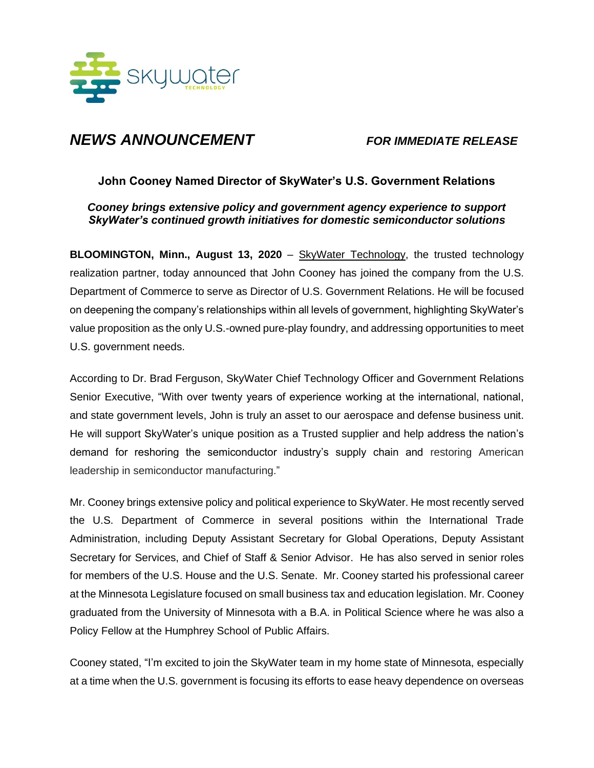

## *NEWS ANNOUNCEMENT FOR IMMEDIATE RELEASE*

## **John Cooney Named Director of SkyWater's U.S. Government Relations**

*Cooney brings extensive policy and government agency experience to support SkyWater's continued growth initiatives for domestic semiconductor solutions*

**BLOOMINGTON, Minn., August 13, 2020** – [SkyWater Technology,](https://www.skywatertechnology.com/) the trusted technology realization partner, today announced that John Cooney has joined the company from the U.S. Department of Commerce to serve as Director of U.S. Government Relations. He will be focused on deepening the company's relationships within all levels of government, highlighting SkyWater's value proposition as the only U.S.-owned pure-play foundry, and addressing opportunities to meet U.S. government needs.

According to Dr. Brad Ferguson, SkyWater Chief Technology Officer and Government Relations Senior Executive, "With over twenty years of experience working at the international, national, and state government levels, John is truly an asset to our aerospace and defense business unit. He will support SkyWater's unique position as a Trusted supplier and help address the nation's demand for reshoring the semiconductor industry's supply chain and restoring American leadership in semiconductor manufacturing."

Mr. Cooney brings extensive policy and political experience to SkyWater. He most recently served the U.S. Department of Commerce in several positions within the International Trade Administration, including Deputy Assistant Secretary for Global Operations, Deputy Assistant Secretary for Services, and Chief of Staff & Senior Advisor. He has also served in senior roles for members of the U.S. House and the U.S. Senate. Mr. Cooney started his professional career at the Minnesota Legislature focused on small business tax and education legislation. Mr. Cooney graduated from the University of Minnesota with a B.A. in Political Science where he was also a Policy Fellow at the Humphrey School of Public Affairs.

Cooney stated, "I'm excited to join the SkyWater team in my home state of Minnesota, especially at a time when the U.S. government is focusing its efforts to ease heavy dependence on overseas